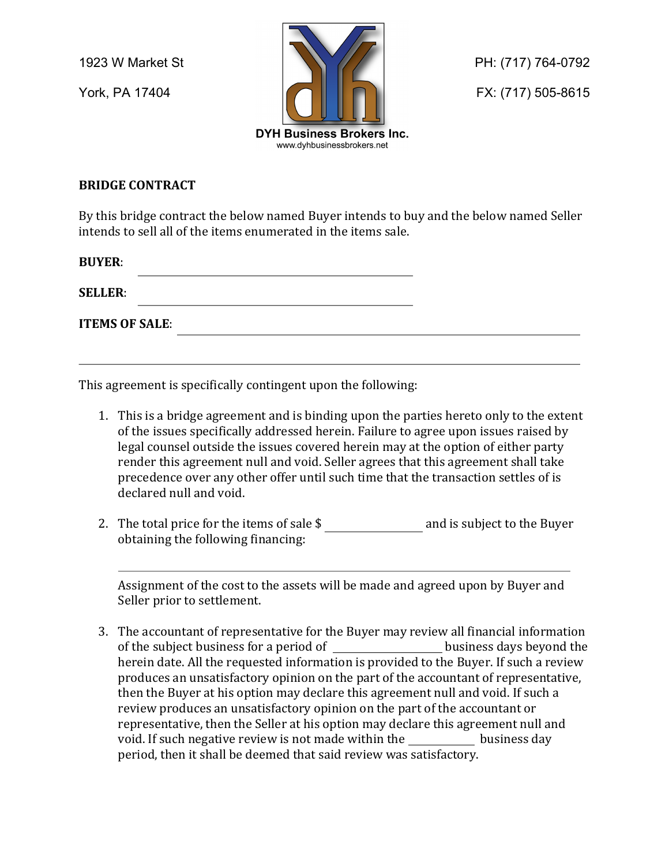

## **BRIDGE CONTRACT**

By this bridge contract the below named Buyer intends to buy and the below named Seller intends to sell all of the items enumerated in the items sale.

**BUYER**:

**SELLER**:

**ITEMS OF SALE**:

This agreement is specifically contingent upon the following:

1. This is a bridge agreement and is binding upon the parties hereto only to the extent of the issues specifically addressed herein. Failure to agree upon issues raised by legal counsel outside the issues covered herein may at the option of either party render this agreement null and void. Seller agrees that this agreement shall take precedence over any other offer until such time that the transaction settles of is declared null and void.

<u> 1989 - Johann Stein, marwolaethau a bhann an t-Amhainn an t-Amhainn an t-Amhainn an t-Amhainn an t-Amhainn a</u>

2. The total price for the items of sale  $\frac{1}{2}$  and is subject to the Buyer obtaining the following financing:

Assignment of the cost to the assets will be made and agreed upon by Buyer and Seller prior to settlement.

3. The accountant of representative for the Buyer may review all financial information of the subject business for a period of \_\_\_\_\_\_\_\_\_\_\_\_\_\_\_\_\_\_\_\_\_\_\_\_business days beyond the herein date. All the requested information is provided to the Buyer. If such a review produces an unsatisfactory opinion on the part of the accountant of representative, then the Buyer at his option may declare this agreement null and void. If such a review produces an unsatisfactory opinion on the part of the accountant or representative, then the Seller at his option may declare this agreement null and void. If such negative review is not made within the business day period, then it shall be deemed that said review was satisfactory.